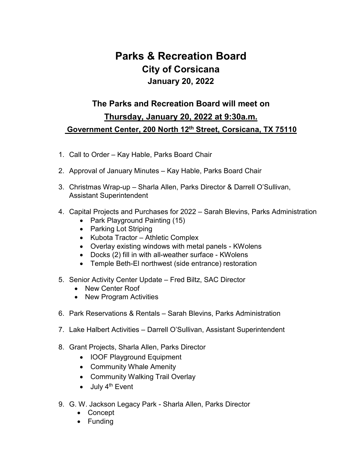## **Parks & Recreation Board City of Corsicana January 20, 2022**

## **The Parks and Recreation Board will meet on Thursday, January 20, 2022 at 9:30a.m. Government Center, 200 North 12th Street, Corsicana, TX 75110**

- 1. Call to Order Kay Hable, Parks Board Chair
- 2. Approval of January Minutes Kay Hable, Parks Board Chair
- 3. Christmas Wrap-up Sharla Allen, Parks Director & Darrell O'Sullivan, Assistant Superintendent
- 4. Capital Projects and Purchases for 2022 Sarah Blevins, Parks Administration
	- Park Playground Painting (15)
	- Parking Lot Striping
	- Kubota Tractor Athletic Complex
	- Overlay existing windows with metal panels KWolens
	- Docks (2) fill in with all-weather surface KWolens
	- Temple Beth-El northwest (side entrance) restoration
- 5. Senior Activity Center Update Fred Biltz, SAC Director
	- New Center Roof
	- New Program Activities
- 6. Park Reservations & Rentals Sarah Blevins, Parks Administration
- 7. Lake Halbert Activities Darrell O'Sullivan, Assistant Superintendent
- 8. Grant Projects, Sharla Allen, Parks Director
	- IOOF Playground Equipment
	- Community Whale Amenity
	- Community Walking Trail Overlay
	- $\bullet$  July 4<sup>th</sup> Event
- 9. G. W. Jackson Legacy Park Sharla Allen, Parks Director
	- Concept
	- Funding